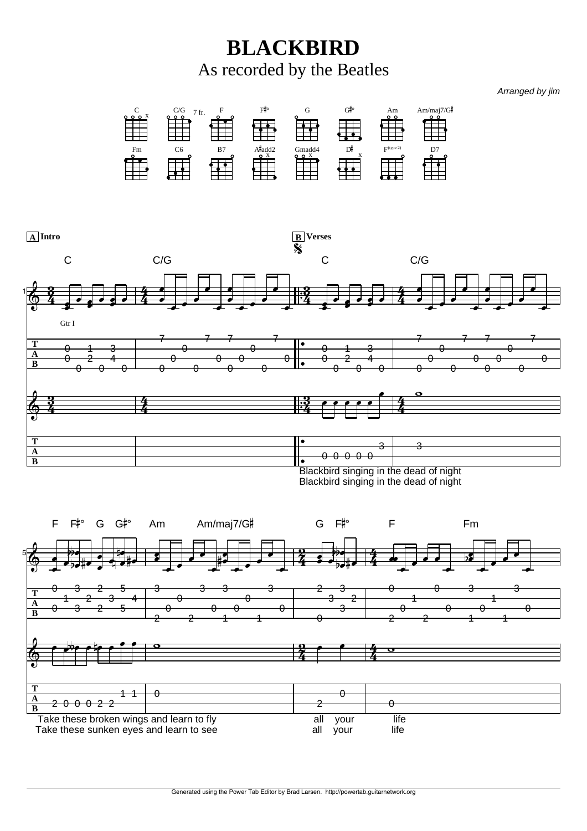**BLACKBIRD** As recorded by the Beatles

*Arranged by jim*